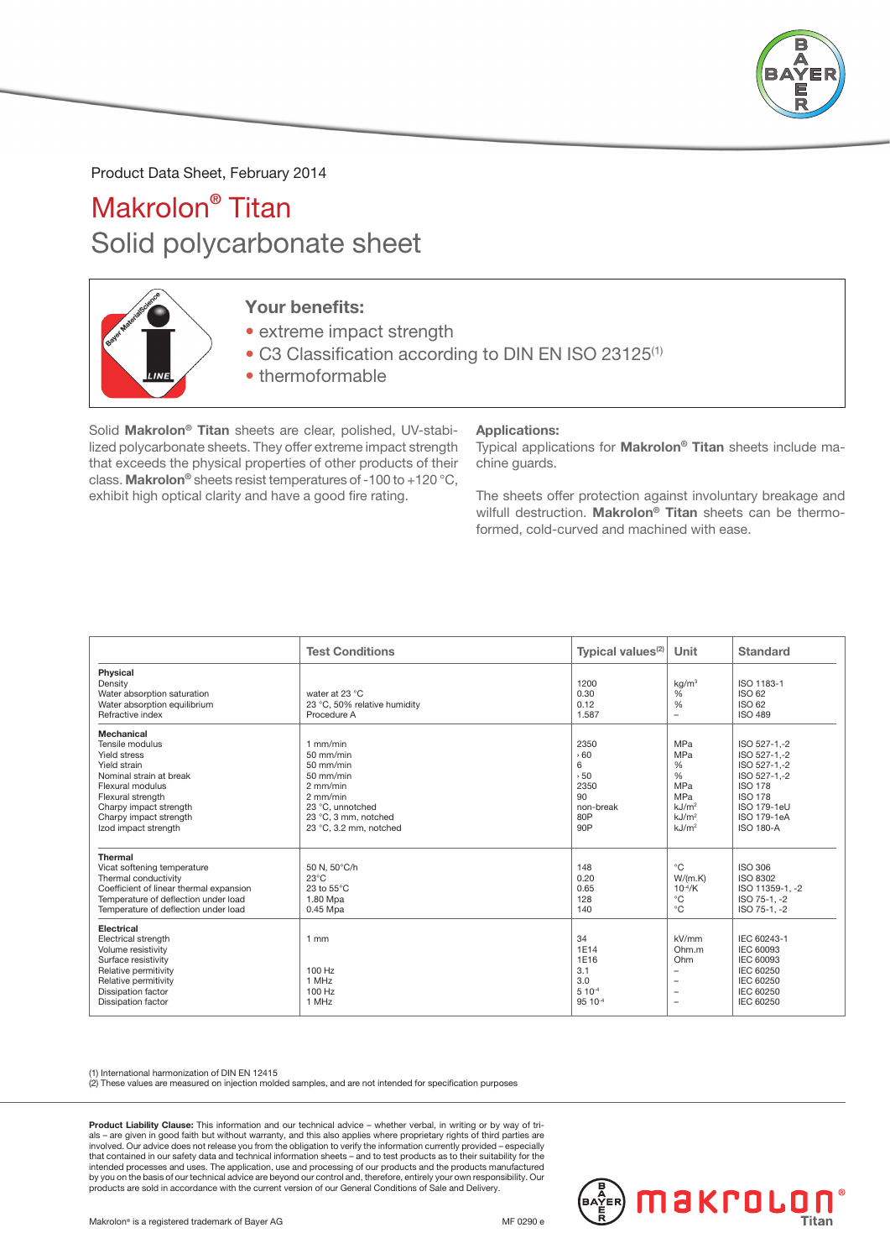

Product Data Sheet, February 2014

## Makrolon® Titan Solid polycarbonate sheet



## Your benefits:

- extreme impact strength
- C3 Classification according to DIN EN ISO 23125<sup>(1)</sup>
- thermoformable

Solid Makrolon® Titan sheets are clear, polished, UV-stabilized polycarbonate sheets. They offer extreme impact strength that exceeds the physical properties of other products of their class. Makrolon® sheets resist temperatures of -100 to +120 °C, exhibit high optical clarity and have a good fire rating.

## Applications:

Typical applications for Makrolon® Titan sheets include machine guards.

The sheets offer protection against involuntary breakage and wilfull destruction. Makrolon® Titan sheets can be thermoformed, cold-curved and machined with ease.

|                                                                                                                                                                                                               | <b>Test Conditions</b>                                                                                                                                | Typical values <sup>(2)</sup>                                   | Unit                                                                                                          | <b>Standard</b>                                                                                                                                    |
|---------------------------------------------------------------------------------------------------------------------------------------------------------------------------------------------------------------|-------------------------------------------------------------------------------------------------------------------------------------------------------|-----------------------------------------------------------------|---------------------------------------------------------------------------------------------------------------|----------------------------------------------------------------------------------------------------------------------------------------------------|
| Physical<br>Density<br>Water absorption saturation<br>Water absorption equilibrium<br>Refractive index                                                                                                        | water at 23 °C<br>23 °C, 50% relative humidity<br>Procedure A                                                                                         | 1200<br>0.30<br>0.12<br>1.587                                   | kq/m <sup>3</sup><br>%<br>%<br>$\overline{\phantom{a}}$                                                       | ISO 1183-1<br>ISO 62<br>ISO 62<br><b>ISO 489</b>                                                                                                   |
| Mechanical<br>Tensile modulus<br>Yield stress<br>Yield strain<br>Nominal strain at break<br>Flexural modulus<br>Flexural strength<br>Charpy impact strength<br>Charpy impact strength<br>Izod impact strength | $1$ mm/min<br>$50$ mm/min<br>50 mm/min<br>50 mm/min<br>$2$ mm/min<br>$2$ mm/min<br>23 °C, unnotched<br>23 °C, 3 mm, notched<br>23 °C, 3.2 mm, notched | 2350<br>560<br>6<br>50<br>2350<br>90<br>non-break<br>80P<br>90P | MPa<br>MPa<br>%<br>$\frac{0}{0}$<br>MPa<br>MPa<br>kJ/m <sup>2</sup><br>kJ/m <sup>2</sup><br>kJ/m <sup>2</sup> | ISO 527-1.-2<br>ISO 527-1,-2<br>ISO 527-1.-2<br>ISO 527-1.-2<br><b>ISO 178</b><br><b>ISO 178</b><br>ISO 179-1eU<br>ISO 179-1eA<br><b>ISO 180-A</b> |
| <b>Thermal</b><br>Vicat softening temperature<br>Thermal conductivity<br>Coefficient of linear thermal expansion<br>Temperature of deflection under load<br>Temperature of deflection under load              | 50 N, 50°C/h<br>$23^{\circ}$ C<br>23 to 55°C<br>1.80 Mpa<br>0.45 Mpa                                                                                  | 148<br>0.20<br>0.65<br>128<br>140                               | $^{\circ}$ C<br>W/(m.K)<br>$10^{-4}/K$<br>$^{\circ}C$<br>$^{\circ}C$                                          | <b>ISO 306</b><br><b>ISO 8302</b><br>ISO 11359-1, -2<br>ISO 75-1.-2<br>ISO 75-1, -2                                                                |
| Electrical<br>Electrical strength<br>Volume resistivity<br>Surface resistivity<br>Relative permitivity<br>Relative permitivity<br><b>Dissipation factor</b><br><b>Dissipation factor</b>                      | $1$ mm<br>100 Hz<br>1 MHz<br>100 Hz<br>1 MHz                                                                                                          | 34<br>1E14<br>1E16<br>3.1<br>3.0<br>$5 10^{-4}$<br>95 10-4      | kV/mm<br>Ohm.m<br>Ohm<br>$\overline{\phantom{a}}$<br>۰                                                        | IEC 60243-1<br><b>IEC 60093</b><br><b>IEC 60093</b><br><b>IEC 60250</b><br>IEC 60250<br><b>IEC 60250</b><br><b>IEC 60250</b>                       |

(1) International harmonization of DIN EN 12415 (2) These values are measured on injection molded samples, and are not intended for specification purposes

Product Liability Clause: This information and our technical advice – whether verbal, in writing or by way of trials – are given in good faith but without warranty, and this also applies where proprietary rights of third parties are<br>involved. Our advice does not release you from the obligation to verify the information currently prov that contained in our safety data and technical information sheets – and to test products as to their suitability for the intended processes and uses. The application, use and processing of our products and the products manufactured by you on the basis of our technical advice are beyond our control and, therefore, entirely your own responsibility. Our<br>products are sold in accordance with the current version of our General Conditions of Sale and Delive